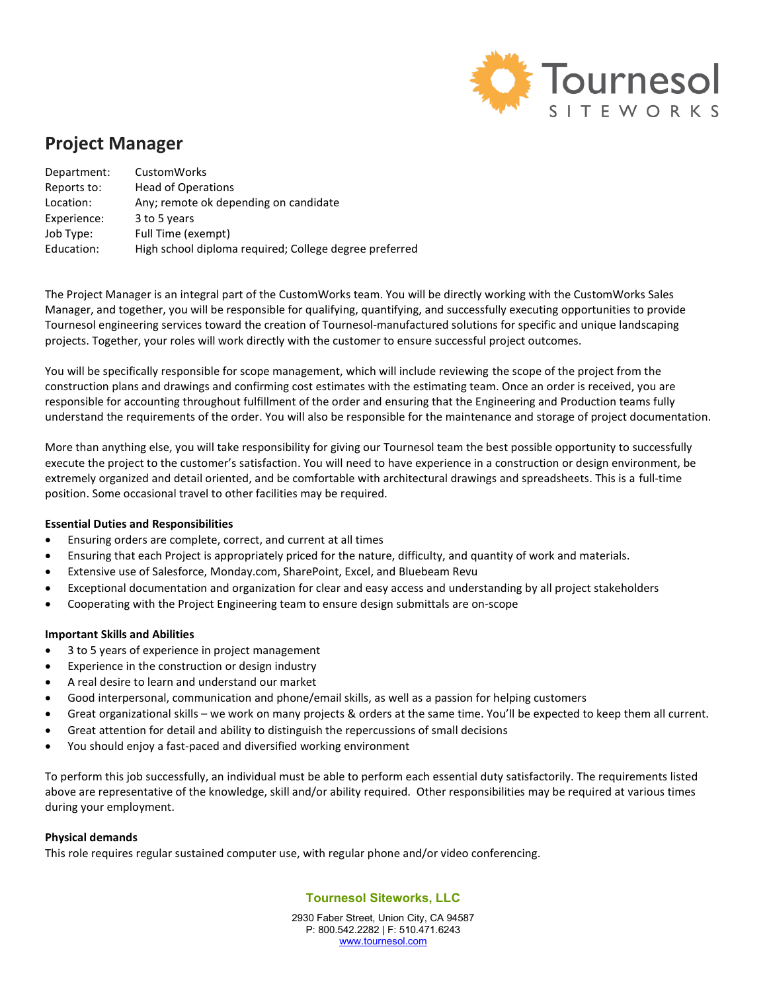

# Project Manager

| Department: | CustomWorks                                            |
|-------------|--------------------------------------------------------|
| Reports to: | <b>Head of Operations</b>                              |
| Location:   | Any; remote ok depending on candidate                  |
| Experience: | 3 to 5 years                                           |
| Job Type:   | Full Time (exempt)                                     |
| Education:  | High school diploma required; College degree preferred |

The Project Manager is an integral part of the CustomWorks team. You will be directly working with the CustomWorks Sales Manager, and together, you will be responsible for qualifying, quantifying, and successfully executing opportunities to provide Tournesol engineering services toward the creation of Tournesol-manufactured solutions for specific and unique landscaping projects. Together, your roles will work directly with the customer to ensure successful project outcomes.

You will be specifically responsible for scope management, which will include reviewing the scope of the project from the construction plans and drawings and confirming cost estimates with the estimating team. Once an order is received, you are responsible for accounting throughout fulfillment of the order and ensuring that the Engineering and Production teams fully understand the requirements of the order. You will also be responsible for the maintenance and storage of project documentation.

More than anything else, you will take responsibility for giving our Tournesol team the best possible opportunity to successfully execute the project to the customer's satisfaction. You will need to have experience in a construction or design environment, be extremely organized and detail oriented, and be comfortable with architectural drawings and spreadsheets. This is a full-time position. Some occasional travel to other facilities may be required.

# Essential Duties and Responsibilities

- Ensuring orders are complete, correct, and current at all times
- Ensuring that each Project is appropriately priced for the nature, difficulty, and quantity of work and materials.
- Extensive use of Salesforce, Monday.com, SharePoint, Excel, and Bluebeam Revu
- Exceptional documentation and organization for clear and easy access and understanding by all project stakeholders
- Cooperating with the Project Engineering team to ensure design submittals are on-scope

### Important Skills and Abilities

- 3 to 5 years of experience in project management
- Experience in the construction or design industry
- A real desire to learn and understand our market
- Good interpersonal, communication and phone/email skills, as well as a passion for helping customers
- Great organizational skills we work on many projects & orders at the same time. You'll be expected to keep them all current.
- Great attention for detail and ability to distinguish the repercussions of small decisions
- You should enjoy a fast-paced and diversified working environment

To perform this job successfully, an individual must be able to perform each essential duty satisfactorily. The requirements listed above are representative of the knowledge, skill and/or ability required. Other responsibilities may be required at various times during your employment.

### Physical demands

This role requires regular sustained computer use, with regular phone and/or video conferencing.

# Tournesol Siteworks, LLC

2930 Faber Street, Union City, CA 94587 P: 800.542.2282 | F: 510.471.6243 www.tournesol.com